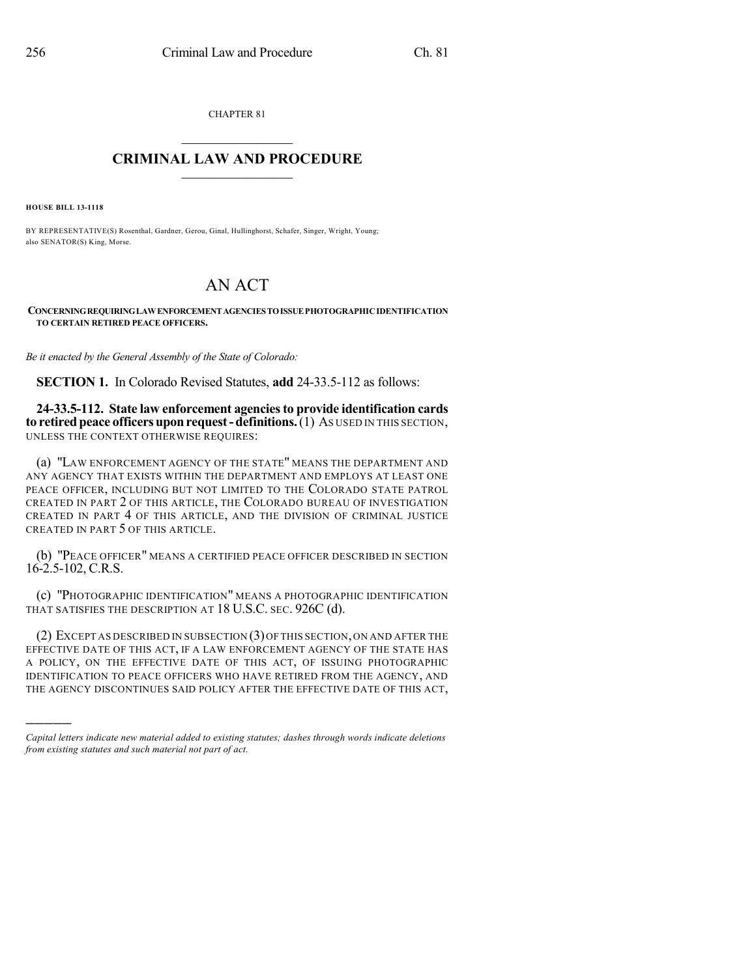CHAPTER 81

## $\overline{\phantom{a}}$  . The set of the set of the set of the set of the set of the set of the set of the set of the set of the set of the set of the set of the set of the set of the set of the set of the set of the set of the set o **CRIMINAL LAW AND PROCEDURE**  $\frac{1}{2}$  ,  $\frac{1}{2}$  ,  $\frac{1}{2}$  ,  $\frac{1}{2}$  ,  $\frac{1}{2}$  ,  $\frac{1}{2}$  ,  $\frac{1}{2}$

**HOUSE BILL 13-1118**

)))))

BY REPRESENTATIVE(S) Rosenthal, Gardner, Gerou, Ginal, Hullinghorst, Schafer, Singer, Wright, Young; also SENATOR(S) King, Morse.

# AN ACT

**CONCERNINGREQUIRINGLAWENFORCEMENTAGENCIESTOISSUEPHOTOGRAPHICIDENTIFICATION TO CERTAIN RETIRED PEACE OFFICERS.**

*Be it enacted by the General Assembly of the State of Colorado:*

**SECTION 1.** In Colorado Revised Statutes, **add** 24-33.5-112 as follows:

**24-33.5-112. State law enforcement agenciesto provide identification cards to retired peace officers upon request - definitions.** (1) As USED IN THIS SECTION, UNLESS THE CONTEXT OTHERWISE REQUIRES:

(a) "LAW ENFORCEMENT AGENCY OF THE STATE" MEANS THE DEPARTMENT AND ANY AGENCY THAT EXISTS WITHIN THE DEPARTMENT AND EMPLOYS AT LEAST ONE PEACE OFFICER, INCLUDING BUT NOT LIMITED TO THE COLORADO STATE PATROL CREATED IN PART 2 OF THIS ARTICLE, THE COLORADO BUREAU OF INVESTIGATION CREATED IN PART 4 OF THIS ARTICLE, AND THE DIVISION OF CRIMINAL JUSTICE CREATED IN PART 5 OF THIS ARTICLE.

(b) "PEACE OFFICER" MEANS A CERTIFIED PEACE OFFICER DESCRIBED IN SECTION 16-2.5-102, C.R.S.

(c) "PHOTOGRAPHIC IDENTIFICATION" MEANS A PHOTOGRAPHIC IDENTIFICATION THAT SATISFIES THE DESCRIPTION AT 18 U.S.C. SEC. 926C (d).

(2) EXCEPT AS DESCRIBED IN SUBSECTION (3)OF THIS SECTION,ON AND AFTER THE EFFECTIVE DATE OF THIS ACT, IF A LAW ENFORCEMENT AGENCY OF THE STATE HAS A POLICY, ON THE EFFECTIVE DATE OF THIS ACT, OF ISSUING PHOTOGRAPHIC IDENTIFICATION TO PEACE OFFICERS WHO HAVE RETIRED FROM THE AGENCY, AND THE AGENCY DISCONTINUES SAID POLICY AFTER THE EFFECTIVE DATE OF THIS ACT,

*Capital letters indicate new material added to existing statutes; dashes through words indicate deletions from existing statutes and such material not part of act.*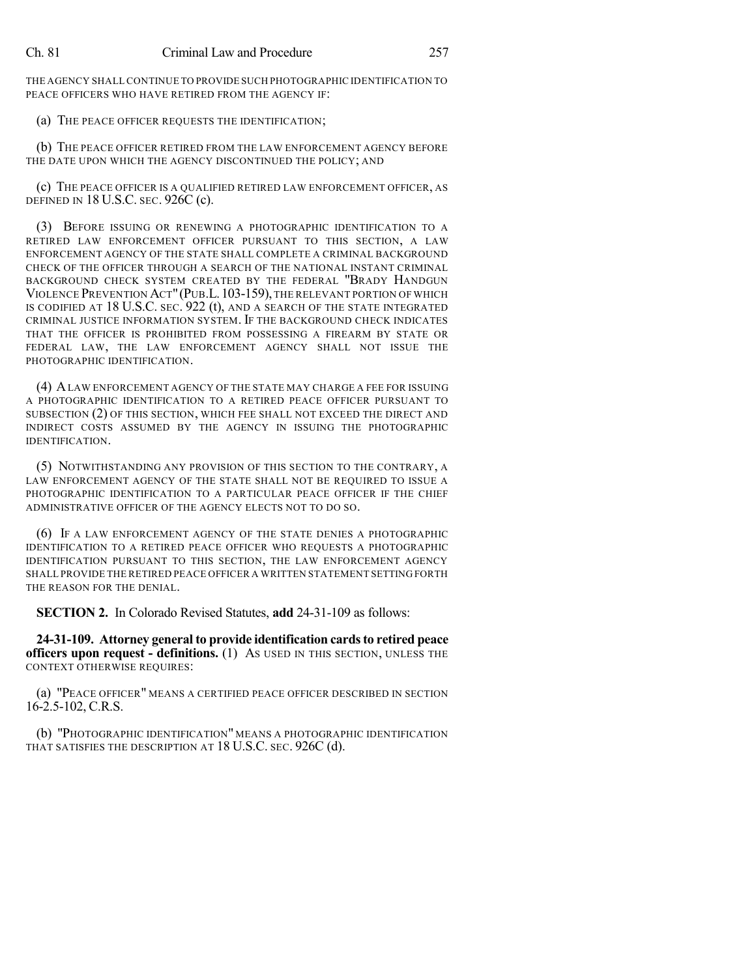THE AGENCY SHALL CONTINUE TO PROVIDE SUCH PHOTOGRAPHIC IDENTIFICATION TO PEACE OFFICERS WHO HAVE RETIRED FROM THE AGENCY IF:

(a) THE PEACE OFFICER REQUESTS THE IDENTIFICATION;

(b) THE PEACE OFFICER RETIRED FROM THE LAW ENFORCEMENT AGENCY BEFORE THE DATE UPON WHICH THE AGENCY DISCONTINUED THE POLICY; AND

(c) THE PEACE OFFICER IS A QUALIFIED RETIRED LAW ENFORCEMENT OFFICER, AS DEFINED IN 18 U.S.C. SEC. 926C (c).

(3) BEFORE ISSUING OR RENEWING A PHOTOGRAPHIC IDENTIFICATION TO A RETIRED LAW ENFORCEMENT OFFICER PURSUANT TO THIS SECTION, A LAW ENFORCEMENT AGENCY OF THE STATE SHALL COMPLETE A CRIMINAL BACKGROUND CHECK OF THE OFFICER THROUGH A SEARCH OF THE NATIONAL INSTANT CRIMINAL BACKGROUND CHECK SYSTEM CREATED BY THE FEDERAL "BRADY HANDGUN VIOLENCE PREVENTION ACT"(PUB.L.103-159), THE RELEVANT PORTION OF WHICH IS CODIFIED AT 18 U.S.C. SEC. 922 (t), AND A SEARCH OF THE STATE INTEGRATED CRIMINAL JUSTICE INFORMATION SYSTEM. IF THE BACKGROUND CHECK INDICATES THAT THE OFFICER IS PROHIBITED FROM POSSESSING A FIREARM BY STATE OR FEDERAL LAW, THE LAW ENFORCEMENT AGENCY SHALL NOT ISSUE THE PHOTOGRAPHIC IDENTIFICATION.

(4) ALAW ENFORCEMENT AGENCY OF THE STATE MAY CHARGE A FEE FOR ISSUING A PHOTOGRAPHIC IDENTIFICATION TO A RETIRED PEACE OFFICER PURSUANT TO SUBSECTION (2) OF THIS SECTION, WHICH FEE SHALL NOT EXCEED THE DIRECT AND INDIRECT COSTS ASSUMED BY THE AGENCY IN ISSUING THE PHOTOGRAPHIC IDENTIFICATION.

(5) NOTWITHSTANDING ANY PROVISION OF THIS SECTION TO THE CONTRARY, A LAW ENFORCEMENT AGENCY OF THE STATE SHALL NOT BE REQUIRED TO ISSUE A PHOTOGRAPHIC IDENTIFICATION TO A PARTICULAR PEACE OFFICER IF THE CHIEF ADMINISTRATIVE OFFICER OF THE AGENCY ELECTS NOT TO DO SO.

(6) IF A LAW ENFORCEMENT AGENCY OF THE STATE DENIES A PHOTOGRAPHIC IDENTIFICATION TO A RETIRED PEACE OFFICER WHO REQUESTS A PHOTOGRAPHIC IDENTIFICATION PURSUANT TO THIS SECTION, THE LAW ENFORCEMENT AGENCY SHALL PROVIDE THE RETIRED PEACE OFFICER A WRITTEN STATEMENT SETTING FORTH THE REASON FOR THE DENIAL.

**SECTION 2.** In Colorado Revised Statutes, **add** 24-31-109 as follows:

**24-31-109. Attorney general to provide identification cardsto retired peace officers upon request - definitions.** (1) AS USED IN THIS SECTION, UNLESS THE CONTEXT OTHERWISE REQUIRES:

(a) "PEACE OFFICER" MEANS A CERTIFIED PEACE OFFICER DESCRIBED IN SECTION 16-2.5-102, C.R.S.

(b) "PHOTOGRAPHIC IDENTIFICATION" MEANS A PHOTOGRAPHIC IDENTIFICATION THAT SATISFIES THE DESCRIPTION AT 18 U.S.C. SEC. 926C (d).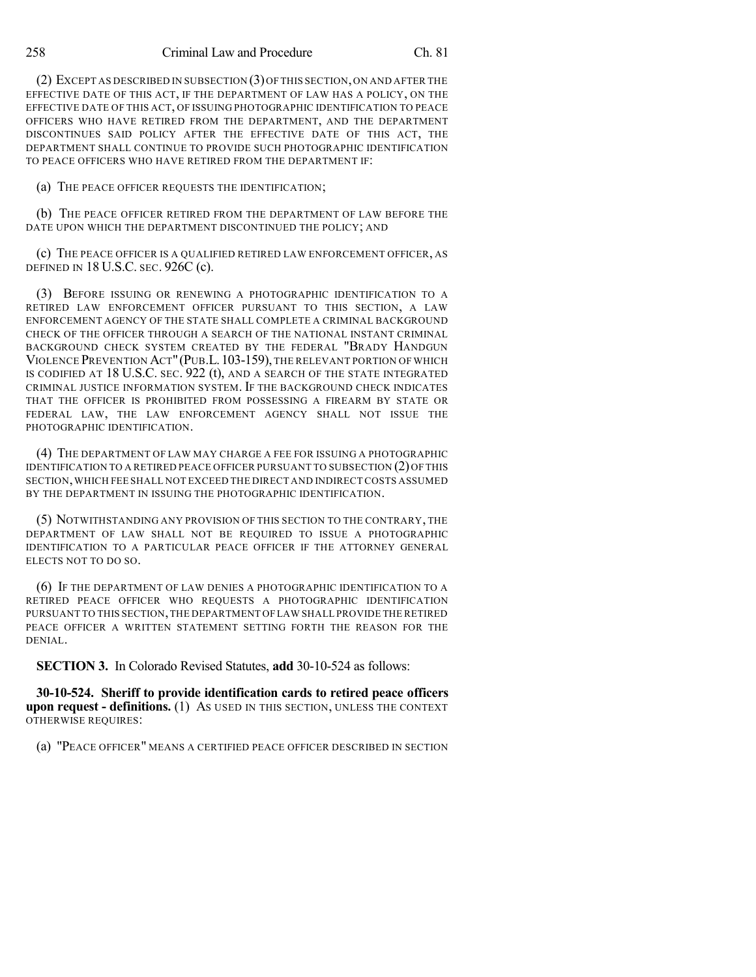(2) EXCEPT AS DESCRIBED IN SUBSECTION (3)OF THIS SECTION,ON AND AFTER THE EFFECTIVE DATE OF THIS ACT, IF THE DEPARTMENT OF LAW HAS A POLICY, ON THE EFFECTIVE DATE OF THIS ACT, OF ISSUING PHOTOGRAPHIC IDENTIFICATION TO PEACE OFFICERS WHO HAVE RETIRED FROM THE DEPARTMENT, AND THE DEPARTMENT DISCONTINUES SAID POLICY AFTER THE EFFECTIVE DATE OF THIS ACT, THE DEPARTMENT SHALL CONTINUE TO PROVIDE SUCH PHOTOGRAPHIC IDENTIFICATION TO PEACE OFFICERS WHO HAVE RETIRED FROM THE DEPARTMENT IF:

(a) THE PEACE OFFICER REQUESTS THE IDENTIFICATION;

(b) THE PEACE OFFICER RETIRED FROM THE DEPARTMENT OF LAW BEFORE THE DATE UPON WHICH THE DEPARTMENT DISCONTINUED THE POLICY; AND

(c) THE PEACE OFFICER IS A QUALIFIED RETIRED LAW ENFORCEMENT OFFICER, AS DEFINED IN 18 U.S.C. SEC. 926C (c).

(3) BEFORE ISSUING OR RENEWING A PHOTOGRAPHIC IDENTIFICATION TO A RETIRED LAW ENFORCEMENT OFFICER PURSUANT TO THIS SECTION, A LAW ENFORCEMENT AGENCY OF THE STATE SHALL COMPLETE A CRIMINAL BACKGROUND CHECK OF THE OFFICER THROUGH A SEARCH OF THE NATIONAL INSTANT CRIMINAL BACKGROUND CHECK SYSTEM CREATED BY THE FEDERAL "BRADY HANDGUN VIOLENCE PREVENTION ACT"(PUB.L.103-159), THE RELEVANT PORTION OF WHICH IS CODIFIED AT 18 U.S.C. SEC. 922 (t), AND A SEARCH OF THE STATE INTEGRATED CRIMINAL JUSTICE INFORMATION SYSTEM. IF THE BACKGROUND CHECK INDICATES THAT THE OFFICER IS PROHIBITED FROM POSSESSING A FIREARM BY STATE OR FEDERAL LAW, THE LAW ENFORCEMENT AGENCY SHALL NOT ISSUE THE PHOTOGRAPHIC IDENTIFICATION.

(4) THE DEPARTMENT OF LAW MAY CHARGE A FEE FOR ISSUING A PHOTOGRAPHIC IDENTIFICATION TO A RETIRED PEACE OFFICER PURSUANT TO SUBSECTION (2) OF THIS SECTION,WHICH FEE SHALL NOT EXCEED THE DIRECT AND INDIRECT COSTS ASSUMED BY THE DEPARTMENT IN ISSUING THE PHOTOGRAPHIC IDENTIFICATION.

(5) NOTWITHSTANDING ANY PROVISION OF THIS SECTION TO THE CONTRARY, THE DEPARTMENT OF LAW SHALL NOT BE REQUIRED TO ISSUE A PHOTOGRAPHIC IDENTIFICATION TO A PARTICULAR PEACE OFFICER IF THE ATTORNEY GENERAL ELECTS NOT TO DO SO.

(6) IF THE DEPARTMENT OF LAW DENIES A PHOTOGRAPHIC IDENTIFICATION TO A RETIRED PEACE OFFICER WHO REQUESTS A PHOTOGRAPHIC IDENTIFICATION PURSUANT TO THIS SECTION,THE DEPARTMENT OF LAW SHALL PROVIDE THE RETIRED PEACE OFFICER A WRITTEN STATEMENT SETTING FORTH THE REASON FOR THE DENIAL.

**SECTION 3.** In Colorado Revised Statutes, **add** 30-10-524 as follows:

**30-10-524. Sheriff to provide identification cards to retired peace officers upon request - definitions.** (1) AS USED IN THIS SECTION, UNLESS THE CONTEXT OTHERWISE REQUIRES:

(a) "PEACE OFFICER" MEANS A CERTIFIED PEACE OFFICER DESCRIBED IN SECTION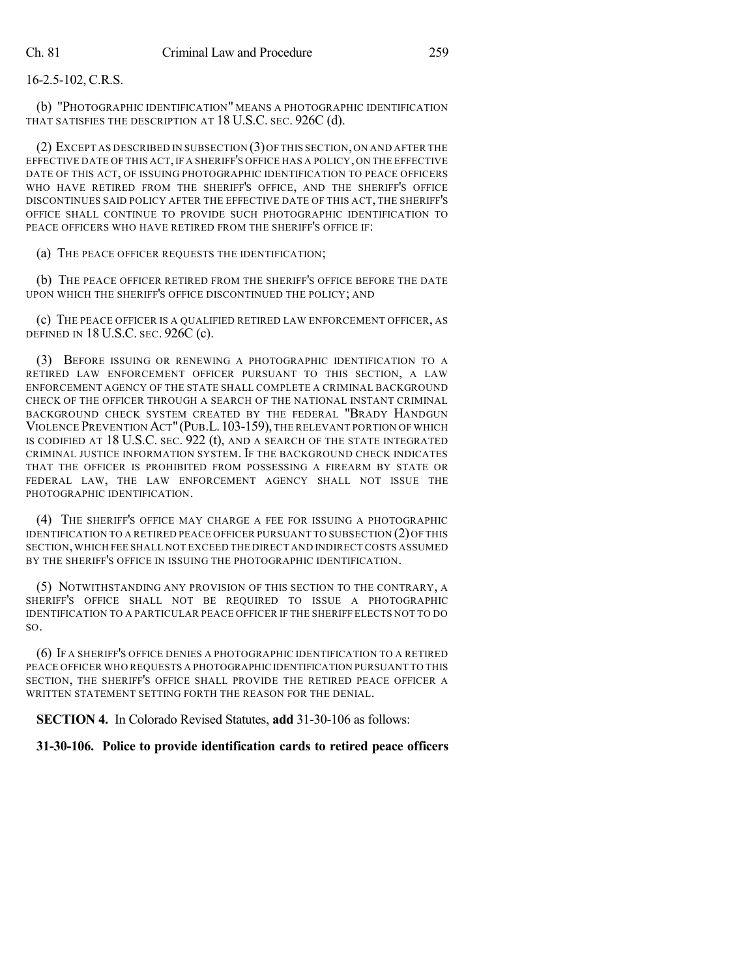### 16-2.5-102, C.R.S.

(b) "PHOTOGRAPHIC IDENTIFICATION" MEANS A PHOTOGRAPHIC IDENTIFICATION THAT SATISFIES THE DESCRIPTION AT 18 U.S.C. SEC. 926C (d).

(2) EXCEPT AS DESCRIBED IN SUBSECTION (3)OF THIS SECTION,ON AND AFTER THE EFFECTIVE DATE OF THIS ACT,IF A SHERIFF'S OFFICE HAS A POLICY, ON THE EFFECTIVE DATE OF THIS ACT, OF ISSUING PHOTOGRAPHIC IDENTIFICATION TO PEACE OFFICERS WHO HAVE RETIRED FROM THE SHERIFF'S OFFICE, AND THE SHERIFF'S OFFICE DISCONTINUES SAID POLICY AFTER THE EFFECTIVE DATE OF THIS ACT, THE SHERIFF'S OFFICE SHALL CONTINUE TO PROVIDE SUCH PHOTOGRAPHIC IDENTIFICATION TO PEACE OFFICERS WHO HAVE RETIRED FROM THE SHERIFF'S OFFICE IF:

(a) THE PEACE OFFICER REQUESTS THE IDENTIFICATION;

(b) THE PEACE OFFICER RETIRED FROM THE SHERIFF'S OFFICE BEFORE THE DATE UPON WHICH THE SHERIFF'S OFFICE DISCONTINUED THE POLICY; AND

(c) THE PEACE OFFICER IS A QUALIFIED RETIRED LAW ENFORCEMENT OFFICER, AS DEFINED IN 18 U.S.C. SEC. 926C (c).

(3) BEFORE ISSUING OR RENEWING A PHOTOGRAPHIC IDENTIFICATION TO A RETIRED LAW ENFORCEMENT OFFICER PURSUANT TO THIS SECTION, A LAW ENFORCEMENT AGENCY OF THE STATE SHALL COMPLETE A CRIMINAL BACKGROUND CHECK OF THE OFFICER THROUGH A SEARCH OF THE NATIONAL INSTANT CRIMINAL BACKGROUND CHECK SYSTEM CREATED BY THE FEDERAL "BRADY HANDGUN VIOLENCE PREVENTION ACT"(PUB.L.103-159), THE RELEVANT PORTION OF WHICH IS CODIFIED AT 18 U.S.C. SEC. 922 (t), AND A SEARCH OF THE STATE INTEGRATED CRIMINAL JUSTICE INFORMATION SYSTEM. IF THE BACKGROUND CHECK INDICATES THAT THE OFFICER IS PROHIBITED FROM POSSESSING A FIREARM BY STATE OR FEDERAL LAW, THE LAW ENFORCEMENT AGENCY SHALL NOT ISSUE THE PHOTOGRAPHIC IDENTIFICATION.

(4) THE SHERIFF'S OFFICE MAY CHARGE A FEE FOR ISSUING A PHOTOGRAPHIC IDENTIFICATION TO A RETIRED PEACE OFFICER PURSUANT TO SUBSECTION (2)OF THIS SECTION,WHICH FEE SHALL NOT EXCEED THE DIRECT AND INDIRECT COSTS ASSUMED BY THE SHERIFF'S OFFICE IN ISSUING THE PHOTOGRAPHIC IDENTIFICATION.

(5) NOTWITHSTANDING ANY PROVISION OF THIS SECTION TO THE CONTRARY, A SHERIFF'S OFFICE SHALL NOT BE REQUIRED TO ISSUE A PHOTOGRAPHIC IDENTIFICATION TO A PARTICULAR PEACE OFFICER IF THE SHERIFF ELECTS NOT TO DO SO.

(6) IF A SHERIFF'S OFFICE DENIES A PHOTOGRAPHIC IDENTIFICATION TO A RETIRED PEACE OFFICER WHO REQUESTS A PHOTOGRAPHIC IDENTIFICATION PURSUANT TO THIS SECTION, THE SHERIFF'S OFFICE SHALL PROVIDE THE RETIRED PEACE OFFICER A WRITTEN STATEMENT SETTING FORTH THE REASON FOR THE DENIAL.

**SECTION 4.** In Colorado Revised Statutes, **add** 31-30-106 as follows:

#### **31-30-106. Police to provide identification cards to retired peace officers**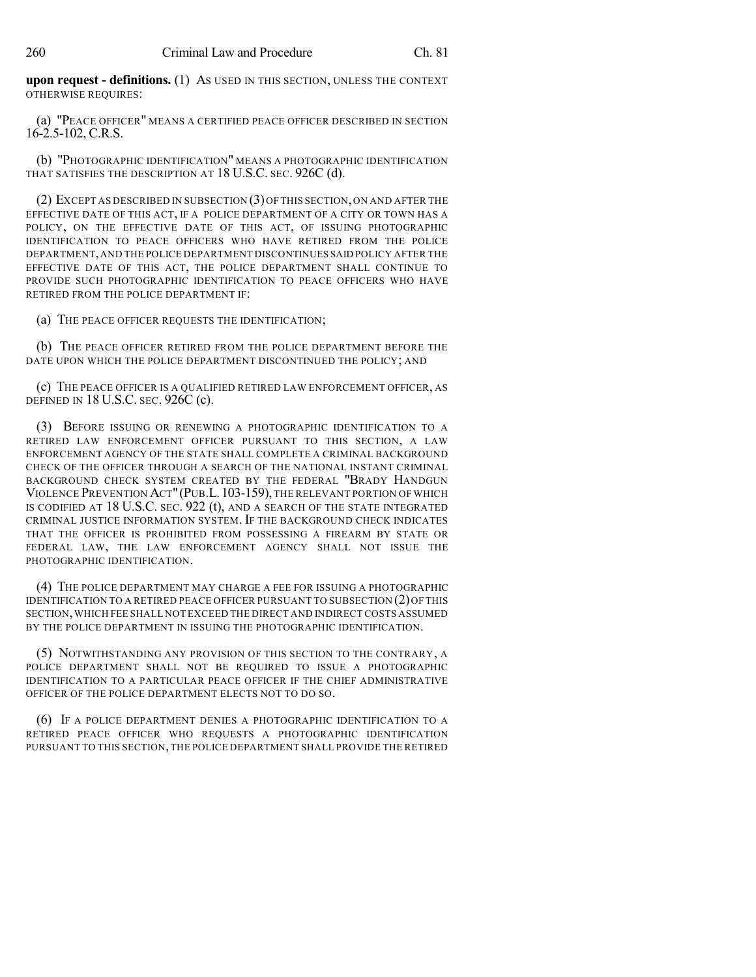**upon request - definitions.** (1) AS USED IN THIS SECTION, UNLESS THE CONTEXT OTHERWISE REQUIRES:

(a) "PEACE OFFICER" MEANS A CERTIFIED PEACE OFFICER DESCRIBED IN SECTION 16-2.5-102, C.R.S.

(b) "PHOTOGRAPHIC IDENTIFICATION" MEANS A PHOTOGRAPHIC IDENTIFICATION THAT SATISFIES THE DESCRIPTION AT 18 U.S.C. SEC. 926C (d).

(2) EXCEPT AS DESCRIBED IN SUBSECTION (3)OF THIS SECTION,ON AND AFTER THE EFFECTIVE DATE OF THIS ACT, IF A POLICE DEPARTMENT OF A CITY OR TOWN HAS A POLICY, ON THE EFFECTIVE DATE OF THIS ACT, OF ISSUING PHOTOGRAPHIC IDENTIFICATION TO PEACE OFFICERS WHO HAVE RETIRED FROM THE POLICE DEPARTMENT,AND THE POLICE DEPARTMENT DISCONTINUES SAID POLICY AFTER THE EFFECTIVE DATE OF THIS ACT, THE POLICE DEPARTMENT SHALL CONTINUE TO PROVIDE SUCH PHOTOGRAPHIC IDENTIFICATION TO PEACE OFFICERS WHO HAVE RETIRED FROM THE POLICE DEPARTMENT IF:

(a) THE PEACE OFFICER REQUESTS THE IDENTIFICATION;

(b) THE PEACE OFFICER RETIRED FROM THE POLICE DEPARTMENT BEFORE THE DATE UPON WHICH THE POLICE DEPARTMENT DISCONTINUED THE POLICY; AND

(c) THE PEACE OFFICER IS A QUALIFIED RETIRED LAW ENFORCEMENT OFFICER, AS DEFINED IN 18 U.S.C. SEC. 926C (c).

(3) BEFORE ISSUING OR RENEWING A PHOTOGRAPHIC IDENTIFICATION TO A RETIRED LAW ENFORCEMENT OFFICER PURSUANT TO THIS SECTION, A LAW ENFORCEMENT AGENCY OF THE STATE SHALL COMPLETE A CRIMINAL BACKGROUND CHECK OF THE OFFICER THROUGH A SEARCH OF THE NATIONAL INSTANT CRIMINAL BACKGROUND CHECK SYSTEM CREATED BY THE FEDERAL "BRADY HANDGUN VIOLENCE PREVENTION ACT"(PUB.L.103-159), THE RELEVANT PORTION OF WHICH IS CODIFIED AT 18 U.S.C. SEC. 922 (t), AND A SEARCH OF THE STATE INTEGRATED CRIMINAL JUSTICE INFORMATION SYSTEM. IF THE BACKGROUND CHECK INDICATES THAT THE OFFICER IS PROHIBITED FROM POSSESSING A FIREARM BY STATE OR FEDERAL LAW, THE LAW ENFORCEMENT AGENCY SHALL NOT ISSUE THE PHOTOGRAPHIC IDENTIFICATION.

(4) THE POLICE DEPARTMENT MAY CHARGE A FEE FOR ISSUING A PHOTOGRAPHIC IDENTIFICATION TO A RETIRED PEACE OFFICER PURSUANT TO SUBSECTION (2)OF THIS SECTION,WHICH FEE SHALL NOT EXCEED THE DIRECT AND INDIRECT COSTS ASSUMED BY THE POLICE DEPARTMENT IN ISSUING THE PHOTOGRAPHIC IDENTIFICATION.

(5) NOTWITHSTANDING ANY PROVISION OF THIS SECTION TO THE CONTRARY, A POLICE DEPARTMENT SHALL NOT BE REQUIRED TO ISSUE A PHOTOGRAPHIC IDENTIFICATION TO A PARTICULAR PEACE OFFICER IF THE CHIEF ADMINISTRATIVE OFFICER OF THE POLICE DEPARTMENT ELECTS NOT TO DO SO.

(6) IF A POLICE DEPARTMENT DENIES A PHOTOGRAPHIC IDENTIFICATION TO A RETIRED PEACE OFFICER WHO REQUESTS A PHOTOGRAPHIC IDENTIFICATION PURSUANT TO THIS SECTION,THE POLICE DEPARTMENT SHALL PROVIDE THE RETIRED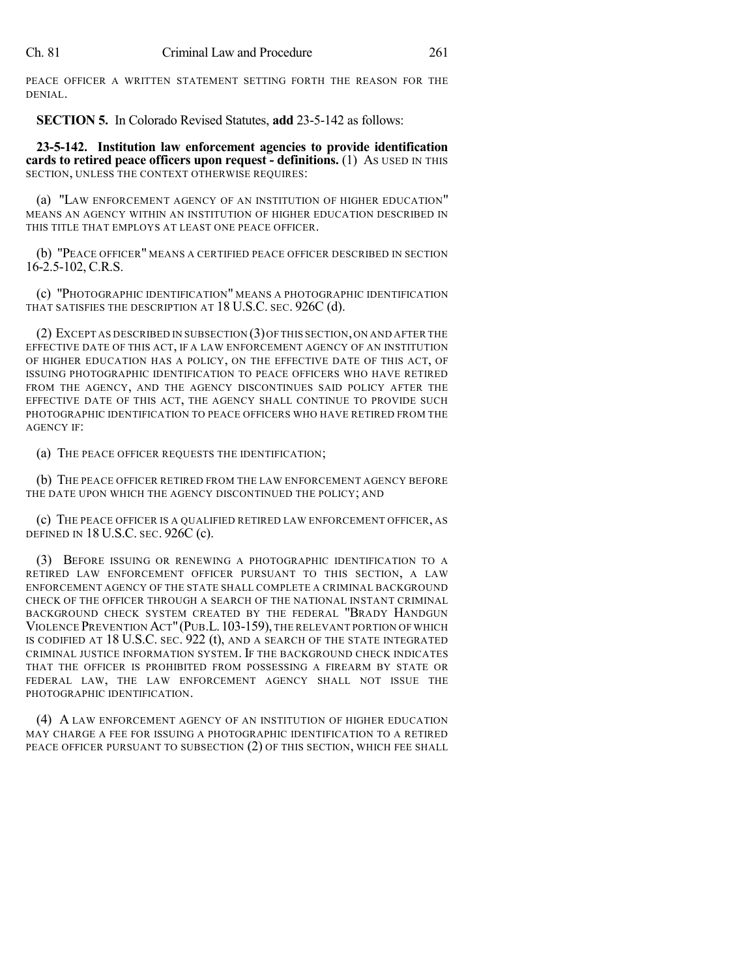PEACE OFFICER A WRITTEN STATEMENT SETTING FORTH THE REASON FOR THE DENIAL.

**SECTION 5.** In Colorado Revised Statutes, **add** 23-5-142 as follows:

**23-5-142. Institution law enforcement agencies to provide identification cards to retired peace officers upon request - definitions.** (1) AS USED IN THIS SECTION, UNLESS THE CONTEXT OTHERWISE REQUIRES:

(a) "LAW ENFORCEMENT AGENCY OF AN INSTITUTION OF HIGHER EDUCATION" MEANS AN AGENCY WITHIN AN INSTITUTION OF HIGHER EDUCATION DESCRIBED IN THIS TITLE THAT EMPLOYS AT LEAST ONE PEACE OFFICER.

(b) "PEACE OFFICER" MEANS A CERTIFIED PEACE OFFICER DESCRIBED IN SECTION 16-2.5-102, C.R.S.

(c) "PHOTOGRAPHIC IDENTIFICATION" MEANS A PHOTOGRAPHIC IDENTIFICATION THAT SATISFIES THE DESCRIPTION AT 18 U.S.C. SEC. 926C (d).

(2) EXCEPT AS DESCRIBED IN SUBSECTION (3)OF THIS SECTION,ON AND AFTER THE EFFECTIVE DATE OF THIS ACT, IF A LAW ENFORCEMENT AGENCY OF AN INSTITUTION OF HIGHER EDUCATION HAS A POLICY, ON THE EFFECTIVE DATE OF THIS ACT, OF ISSUING PHOTOGRAPHIC IDENTIFICATION TO PEACE OFFICERS WHO HAVE RETIRED FROM THE AGENCY, AND THE AGENCY DISCONTINUES SAID POLICY AFTER THE EFFECTIVE DATE OF THIS ACT, THE AGENCY SHALL CONTINUE TO PROVIDE SUCH PHOTOGRAPHIC IDENTIFICATION TO PEACE OFFICERS WHO HAVE RETIRED FROM THE AGENCY IF:

(a) THE PEACE OFFICER REQUESTS THE IDENTIFICATION;

(b) THE PEACE OFFICER RETIRED FROM THE LAW ENFORCEMENT AGENCY BEFORE THE DATE UPON WHICH THE AGENCY DISCONTINUED THE POLICY; AND

(c) THE PEACE OFFICER IS A QUALIFIED RETIRED LAW ENFORCEMENT OFFICER, AS DEFINED IN 18 U.S.C. SEC. 926C (c).

(3) BEFORE ISSUING OR RENEWING A PHOTOGRAPHIC IDENTIFICATION TO A RETIRED LAW ENFORCEMENT OFFICER PURSUANT TO THIS SECTION, A LAW ENFORCEMENT AGENCY OF THE STATE SHALL COMPLETE A CRIMINAL BACKGROUND CHECK OF THE OFFICER THROUGH A SEARCH OF THE NATIONAL INSTANT CRIMINAL BACKGROUND CHECK SYSTEM CREATED BY THE FEDERAL "BRADY HANDGUN VIOLENCE PREVENTION ACT"(PUB.L.103-159), THE RELEVANT PORTION OF WHICH IS CODIFIED AT 18 U.S.C. SEC. 922 (t), AND A SEARCH OF THE STATE INTEGRATED CRIMINAL JUSTICE INFORMATION SYSTEM. IF THE BACKGROUND CHECK INDICATES THAT THE OFFICER IS PROHIBITED FROM POSSESSING A FIREARM BY STATE OR FEDERAL LAW, THE LAW ENFORCEMENT AGENCY SHALL NOT ISSUE THE PHOTOGRAPHIC IDENTIFICATION.

(4) A LAW ENFORCEMENT AGENCY OF AN INSTITUTION OF HIGHER EDUCATION MAY CHARGE A FEE FOR ISSUING A PHOTOGRAPHIC IDENTIFICATION TO A RETIRED PEACE OFFICER PURSUANT TO SUBSECTION (2) OF THIS SECTION, WHICH FEE SHALL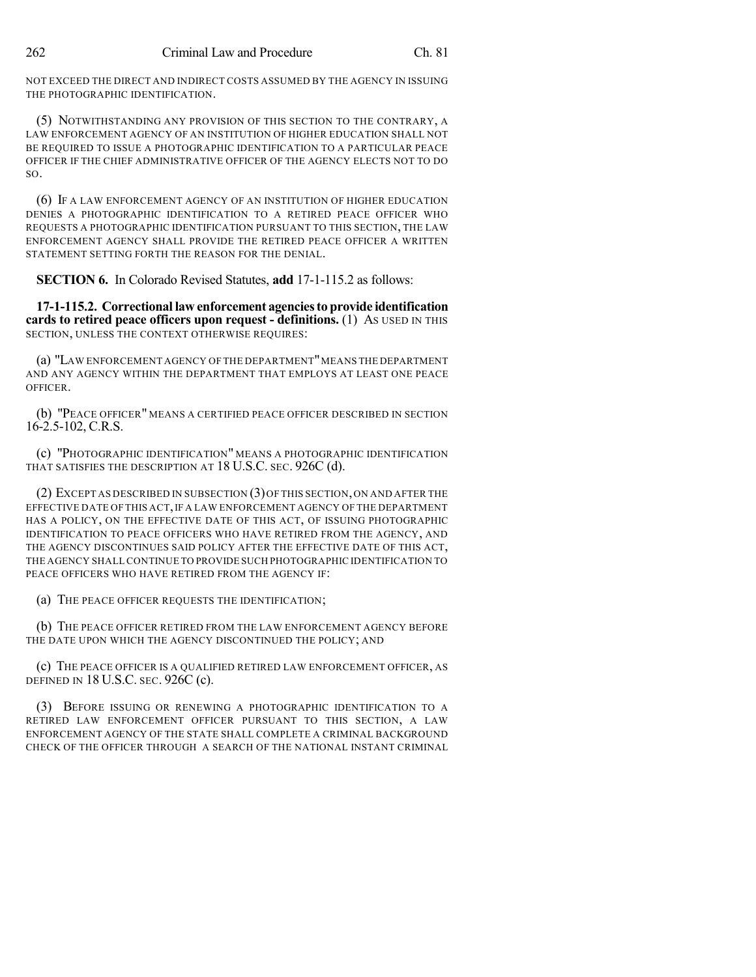NOT EXCEED THE DIRECT AND INDIRECT COSTS ASSUMED BY THE AGENCY IN ISSUING THE PHOTOGRAPHIC IDENTIFICATION.

(5) NOTWITHSTANDING ANY PROVISION OF THIS SECTION TO THE CONTRARY, A LAW ENFORCEMENT AGENCY OF AN INSTITUTION OF HIGHER EDUCATION SHALL NOT BE REQUIRED TO ISSUE A PHOTOGRAPHIC IDENTIFICATION TO A PARTICULAR PEACE OFFICER IF THE CHIEF ADMINISTRATIVE OFFICER OF THE AGENCY ELECTS NOT TO DO  $SO<sub>2</sub>$ 

(6) IF A LAW ENFORCEMENT AGENCY OF AN INSTITUTION OF HIGHER EDUCATION DENIES A PHOTOGRAPHIC IDENTIFICATION TO A RETIRED PEACE OFFICER WHO REQUESTS A PHOTOGRAPHIC IDENTIFICATION PURSUANT TO THIS SECTION, THE LAW ENFORCEMENT AGENCY SHALL PROVIDE THE RETIRED PEACE OFFICER A WRITTEN STATEMENT SETTING FORTH THE REASON FOR THE DENIAL.

**SECTION 6.** In Colorado Revised Statutes, **add** 17-1-115.2 as follows:

**17-1-115.2. Correctional law enforcement agenciesto provide identification cards to retired peace officers upon request - definitions.** (1) AS USED IN THIS SECTION, UNLESS THE CONTEXT OTHERWISE REQUIRES:

(a) "LAW ENFORCEMENT AGENCY OF THE DEPARTMENT"MEANS THE DEPARTMENT AND ANY AGENCY WITHIN THE DEPARTMENT THAT EMPLOYS AT LEAST ONE PEACE OFFICER.

(b) "PEACE OFFICER" MEANS A CERTIFIED PEACE OFFICER DESCRIBED IN SECTION 16-2.5-102, C.R.S.

(c) "PHOTOGRAPHIC IDENTIFICATION" MEANS A PHOTOGRAPHIC IDENTIFICATION THAT SATISFIES THE DESCRIPTION AT 18 U.S.C. SEC. 926C (d).

(2) EXCEPT AS DESCRIBED IN SUBSECTION (3)OF THIS SECTION,ON AND AFTER THE EFFECTIVE DATE OF THIS ACT,IF A LAW ENFORCEMENT AGENCY OF THE DEPARTMENT HAS A POLICY, ON THE EFFECTIVE DATE OF THIS ACT, OF ISSUING PHOTOGRAPHIC IDENTIFICATION TO PEACE OFFICERS WHO HAVE RETIRED FROM THE AGENCY, AND THE AGENCY DISCONTINUES SAID POLICY AFTER THE EFFECTIVE DATE OF THIS ACT, THE AGENCY SHALL CONTINUE TO PROVIDE SUCH PHOTOGRAPHIC IDENTIFICATION TO PEACE OFFICERS WHO HAVE RETIRED FROM THE AGENCY IF:

(a) THE PEACE OFFICER REQUESTS THE IDENTIFICATION;

(b) THE PEACE OFFICER RETIRED FROM THE LAW ENFORCEMENT AGENCY BEFORE THE DATE UPON WHICH THE AGENCY DISCONTINUED THE POLICY; AND

(c) THE PEACE OFFICER IS A QUALIFIED RETIRED LAW ENFORCEMENT OFFICER, AS DEFINED IN 18 U.S.C. SEC. 926C (c).

(3) BEFORE ISSUING OR RENEWING A PHOTOGRAPHIC IDENTIFICATION TO A RETIRED LAW ENFORCEMENT OFFICER PURSUANT TO THIS SECTION, A LAW ENFORCEMENT AGENCY OF THE STATE SHALL COMPLETE A CRIMINAL BACKGROUND CHECK OF THE OFFICER THROUGH A SEARCH OF THE NATIONAL INSTANT CRIMINAL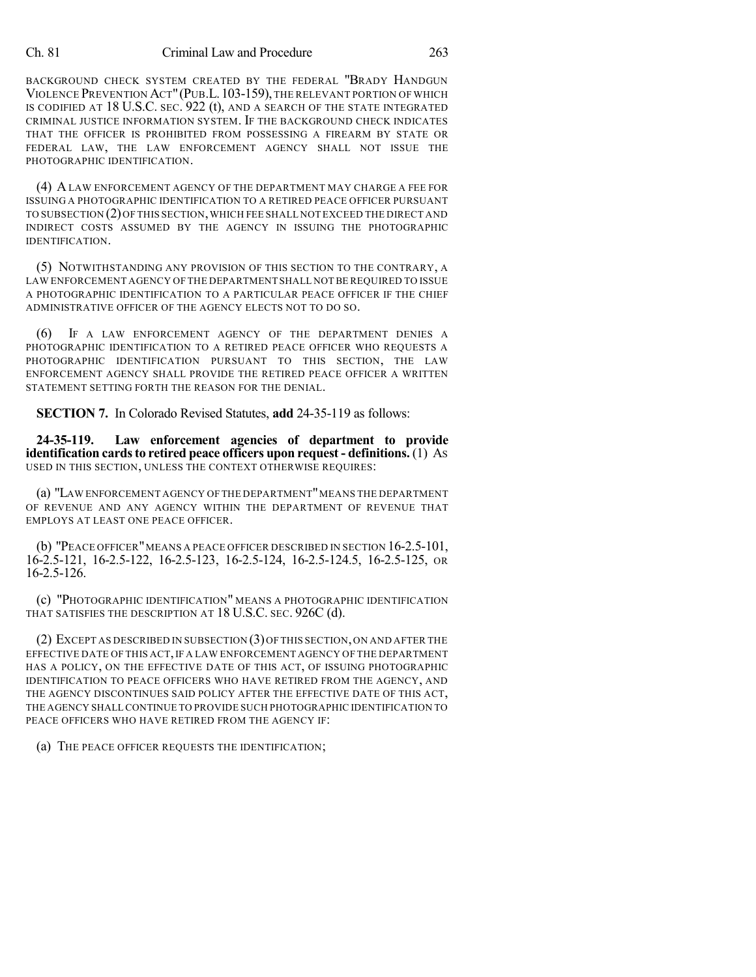#### Ch. 81 Criminal Law and Procedure 263

BACKGROUND CHECK SYSTEM CREATED BY THE FEDERAL "BRADY HANDGUN VIOLENCE PREVENTION ACT"(PUB.L.103-159), THE RELEVANT PORTION OF WHICH IS CODIFIED AT 18 U.S.C. SEC. 922 (t), AND A SEARCH OF THE STATE INTEGRATED CRIMINAL JUSTICE INFORMATION SYSTEM. IF THE BACKGROUND CHECK INDICATES THAT THE OFFICER IS PROHIBITED FROM POSSESSING A FIREARM BY STATE OR FEDERAL LAW, THE LAW ENFORCEMENT AGENCY SHALL NOT ISSUE THE PHOTOGRAPHIC IDENTIFICATION.

(4) ALAW ENFORCEMENT AGENCY OF THE DEPARTMENT MAY CHARGE A FEE FOR ISSUING A PHOTOGRAPHIC IDENTIFICATION TO A RETIRED PEACE OFFICER PURSUANT TO SUBSECTION (2)OF THIS SECTION,WHICH FEE SHALL NOT EXCEED THE DIRECT AND INDIRECT COSTS ASSUMED BY THE AGENCY IN ISSUING THE PHOTOGRAPHIC IDENTIFICATION.

(5) NOTWITHSTANDING ANY PROVISION OF THIS SECTION TO THE CONTRARY, A LAW ENFORCEMENT AGENCY OF THE DEPARTMENT SHALL NOT BE REQUIRED TO ISSUE A PHOTOGRAPHIC IDENTIFICATION TO A PARTICULAR PEACE OFFICER IF THE CHIEF ADMINISTRATIVE OFFICER OF THE AGENCY ELECTS NOT TO DO SO.

(6) IF A LAW ENFORCEMENT AGENCY OF THE DEPARTMENT DENIES A PHOTOGRAPHIC IDENTIFICATION TO A RETIRED PEACE OFFICER WHO REQUESTS A PHOTOGRAPHIC IDENTIFICATION PURSUANT TO THIS SECTION, THE LAW ENFORCEMENT AGENCY SHALL PROVIDE THE RETIRED PEACE OFFICER A WRITTEN STATEMENT SETTING FORTH THE REASON FOR THE DENIAL.

**SECTION 7.** In Colorado Revised Statutes, **add** 24-35-119 as follows:

**24-35-119. Law enforcement agencies of department to provide identification cards to retired peace officers upon request - definitions.** (1) As USED IN THIS SECTION, UNLESS THE CONTEXT OTHERWISE REQUIRES:

(a) "LAW ENFORCEMENT AGENCY OF THE DEPARTMENT"MEANS THE DEPARTMENT OF REVENUE AND ANY AGENCY WITHIN THE DEPARTMENT OF REVENUE THAT EMPLOYS AT LEAST ONE PEACE OFFICER.

(b) "PEACE OFFICER"MEANS A PEACE OFFICER DESCRIBED IN SECTION 16-2.5-101, 16-2.5-121, 16-2.5-122, 16-2.5-123, 16-2.5-124, 16-2.5-124.5, 16-2.5-125, OR 16-2.5-126.

(c) "PHOTOGRAPHIC IDENTIFICATION" MEANS A PHOTOGRAPHIC IDENTIFICATION THAT SATISFIES THE DESCRIPTION AT 18 U.S.C. SEC. 926C (d).

(2) EXCEPT AS DESCRIBED IN SUBSECTION (3)OF THIS SECTION,ON AND AFTER THE EFFECTIVE DATE OF THIS ACT,IF A LAW ENFORCEMENT AGENCY OF THE DEPARTMENT HAS A POLICY, ON THE EFFECTIVE DATE OF THIS ACT, OF ISSUING PHOTOGRAPHIC IDENTIFICATION TO PEACE OFFICERS WHO HAVE RETIRED FROM THE AGENCY, AND THE AGENCY DISCONTINUES SAID POLICY AFTER THE EFFECTIVE DATE OF THIS ACT, THE AGENCY SHALL CONTINUE TO PROVIDE SUCH PHOTOGRAPHIC IDENTIFICATION TO PEACE OFFICERS WHO HAVE RETIRED FROM THE AGENCY IF:

(a) THE PEACE OFFICER REQUESTS THE IDENTIFICATION;